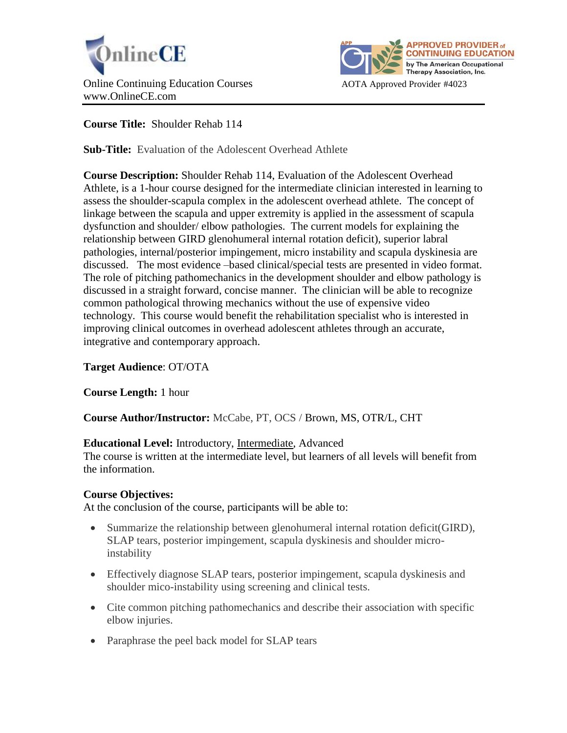



# **Course Title:** Shoulder Rehab 114

**Sub-Title:** Evaluation of the Adolescent Overhead Athlete

**Course Description:** Shoulder Rehab 114, Evaluation of the Adolescent Overhead Athlete, is a 1-hour course designed for the intermediate clinician interested in learning to assess the shoulder-scapula complex in the adolescent overhead athlete. The concept of linkage between the scapula and upper extremity is applied in the assessment of scapula dysfunction and shoulder/ elbow pathologies. The current models for explaining the relationship between GIRD glenohumeral internal rotation deficit), superior labral pathologies, internal/posterior impingement, micro instability and scapula dyskinesia are discussed. The most evidence –based clinical/special tests are presented in video format. The role of pitching pathomechanics in the development shoulder and elbow pathology is discussed in a straight forward, concise manner. The clinician will be able to recognize common pathological throwing mechanics without the use of expensive video technology. This course would benefit the rehabilitation specialist who is interested in improving clinical outcomes in overhead adolescent athletes through an accurate, integrative and contemporary approach.

## **Target Audience**: OT/OTA

## **Course Length:** 1 hour

## **Course Author/Instructor:** McCabe, PT, OCS / Brown, MS, OTR/L, CHT

## **Educational Level:** Introductory, Intermediate, Advanced

The course is written at the intermediate level, but learners of all levels will benefit from the information.

## **Course Objectives:**

At the conclusion of the course, participants will be able to:

- Summarize the relationship between glenohumeral internal rotation deficit(GIRD), SLAP tears, posterior impingement, scapula dyskinesis and shoulder microinstability
- Effectively diagnose SLAP tears, posterior impingement, scapula dyskinesis and shoulder mico-instability using screening and clinical tests.
- Cite common pitching pathomechanics and describe their association with specific elbow injuries.
- Paraphrase the peel back model for SLAP tears